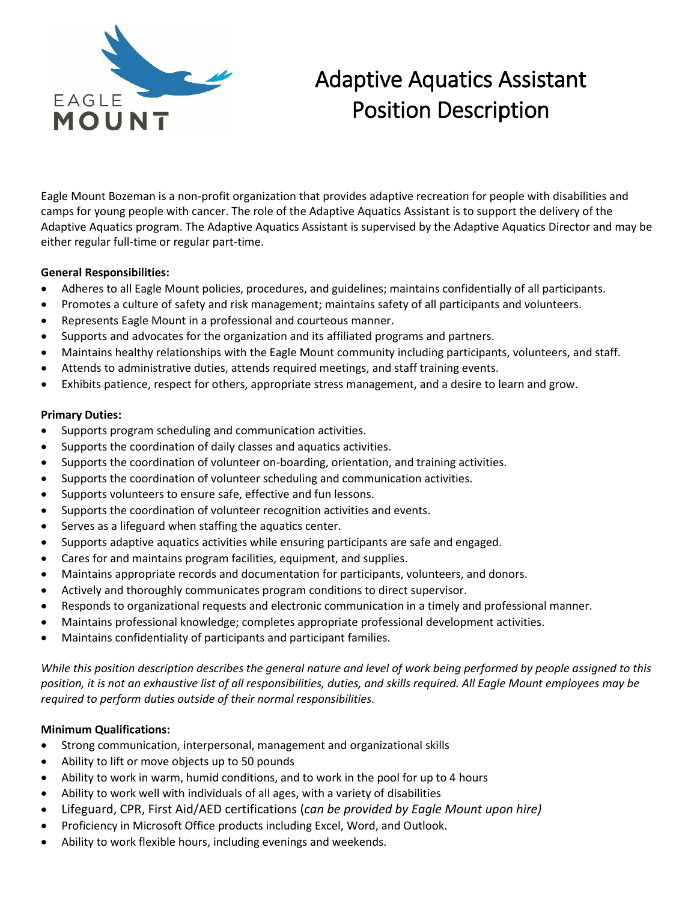

# Adaptive Aquatics Assistant Position Description

Eagle Mount Bozeman is a non-profit organization that provides adaptive recreation for people with disabilities and camps for young people with cancer. The role of the Adaptive Aquatics Assistant is to support the delivery of the Adaptive Aquatics program. The Adaptive Aquatics Assistant is supervised by the Adaptive Aquatics Director and may be either regular full-time or regular part-time.

## **General Responsibilities:**

- Adheres to all Eagle Mount policies, procedures, and guidelines; maintains confidentially of all participants.
- Promotes a culture of safety and risk management; maintains safety of all participants and volunteers.
- Represents Eagle Mount in a professional and courteous manner.
- Supports and advocates for the organization and its affiliated programs and partners.
- Maintains healthy relationships with the Eagle Mount community including participants, volunteers, and staff.
- Attends to administrative duties, attends required meetings, and staff training events.
- Exhibits patience, respect for others, appropriate stress management, and a desire to learn and grow.

#### **Primary Duties:**

- Supports program scheduling and communication activities.
- Supports the coordination of daily classes and aquatics activities.
- Supports the coordination of volunteer on-boarding, orientation, and training activities.
- Supports the coordination of volunteer scheduling and communication activities.
- Supports volunteers to ensure safe, effective and fun lessons.
- Supports the coordination of volunteer recognition activities and events.
- Serves as a lifeguard when staffing the aquatics center.
- Supports adaptive aquatics activities while ensuring participants are safe and engaged.
- Cares for and maintains program facilities, equipment, and supplies.
- Maintains appropriate records and documentation for participants, volunteers, and donors.
- Actively and thoroughly communicates program conditions to direct supervisor.
- Responds to organizational requests and electronic communication in a timely and professional manner.
- Maintains professional knowledge; completes appropriate professional development activities.
- Maintains confidentiality of participants and participant families.

*While this position description describes the general nature and level of work being performed by people assigned to this position, it is not an exhaustive list of all responsibilities, duties, and skills required. All Eagle Mount employees may be required to perform duties outside of their normal responsibilities.*

# **Minimum Qualifications:**

- Strong communication, interpersonal, management and organizational skills
- Ability to lift or move objects up to 50 pounds
- Ability to work in warm, humid conditions, and to work in the pool for up to 4 hours
- Ability to work well with individuals of all ages, with a variety of disabilities
- Lifeguard, CPR, First Aid/AED certifications (*can be provided by Eagle Mount upon hire)*
- Proficiency in Microsoft Office products including Excel, Word, and Outlook.
- Ability to work flexible hours, including evenings and weekends.